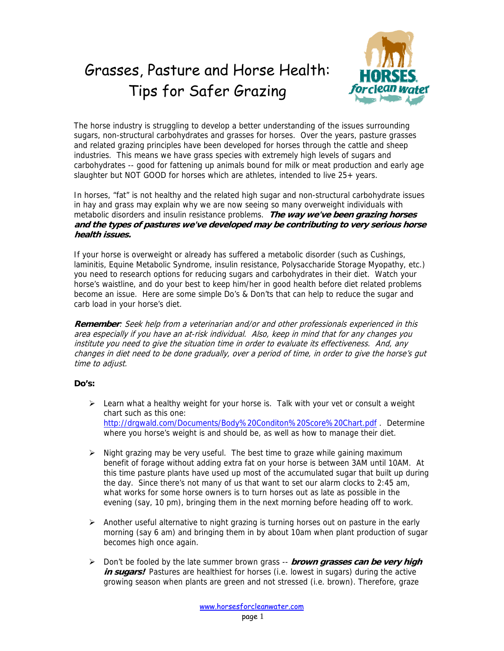## Grasses, Pasture and Horse Health: Tips for Safer Grazing



The horse industry is struggling to develop a better understanding of the issues surrounding sugars, non-structural carbohydrates and grasses for horses. Over the years, pasture grasses and related grazing principles have been developed for horses through the cattle and sheep industries. This means we have grass species with extremely high levels of sugars and carbohydrates -- good for fattening up animals bound for milk or meat production and early age slaughter but NOT GOOD for horses which are athletes, intended to live 25+ years.

In horses, "fat" is not healthy and the related high sugar and non-structural carbohydrate issues in hay and grass may explain why we are now seeing so many overweight individuals with metabolic disorders and insulin resistance problems. **The way we've been grazing horses and the types of pastures we've developed may be contributing to very serious horse health issues.**

If your horse is overweight or already has suffered a metabolic disorder (such as Cushings, laminitis, Equine Metabolic Syndrome, insulin resistance, Polysaccharide Storage Myopathy, etc.) you need to research options for reducing sugars and carbohydrates in their diet. Watch your horse's waistline, and do your best to keep him/her in good health before diet related problems become an issue. Here are some simple Do's & Don'ts that can help to reduce the sugar and carb load in your horse's diet.

**Remember**: Seek help from a veterinarian and/or and other professionals experienced in this area especially if you have an at-risk individual. Also, keep in mind that for any changes you institute you need to give the situation time in order to evaluate its effectiveness. And, any changes in diet need to be done gradually, over a period of time, in order to give the horse's gut time to adjust.

## **Do's:**

- $\triangleright$  Learn what a healthy weight for your horse is. Talk with your vet or consult a weight chart such as this one: http://drgwald.com/Documents/Body%20Conditon%20Score%20Chart.pdf . Determine where you horse's weight is and should be, as well as how to manage their diet.
- $\triangleright$  Night grazing may be very useful. The best time to graze while gaining maximum benefit of forage without adding extra fat on your horse is between 3AM until 10AM. At this time pasture plants have used up most of the accumulated sugar that built up during the day. Since there's not many of us that want to set our alarm clocks to 2:45 am, what works for some horse owners is to turn horses out as late as possible in the evening (say, 10 pm), bringing them in the next morning before heading off to work.
- $\triangleright$  Another useful alternative to night grazing is turning horses out on pasture in the early morning (say 6 am) and bringing them in by about 10am when plant production of sugar becomes high once again.
- Don't be fooled by the late summer brown grass -- **brown grasses can be very high**  *in sugars!* Pastures are healthiest for horses (i.e. lowest in sugars) during the active growing season when plants are green and not stressed (i.e. brown). Therefore, graze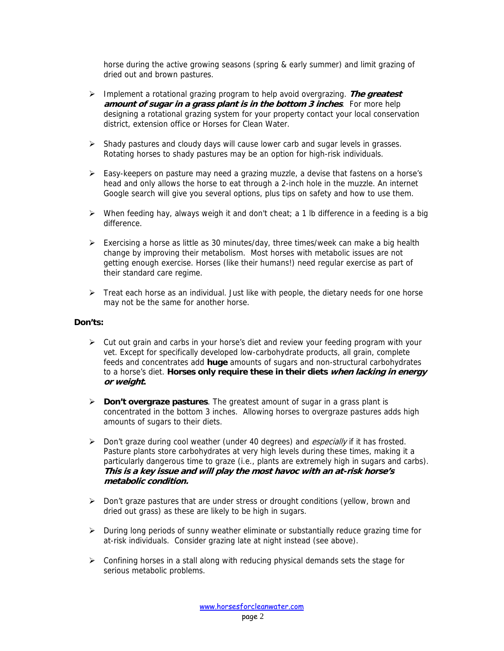horse during the active growing seasons (spring & early summer) and limit grazing of dried out and brown pastures.

- Implement a rotational grazing program to help avoid overgrazing. **The greatest amount of sugar in a grass plant is in the bottom 3 inches**. For more help designing a rotational grazing system for your property contact your local conservation district, extension office or Horses for Clean Water.
- $\triangleright$  Shady pastures and cloudy days will cause lower carb and sugar levels in grasses. Rotating horses to shady pastures may be an option for high-risk individuals.
- $\triangleright$  Easy-keepers on pasture may need a grazing muzzle, a devise that fastens on a horse's head and only allows the horse to eat through a 2-inch hole in the muzzle. An internet Google search will give you several options, plus tips on safety and how to use them.
- $\triangleright$  When feeding hay, always weigh it and don't cheat; a 1 lb difference in a feeding is a big difference.
- Exercising a horse as little as 30 minutes/day, three times/week can make a big health change by improving their metabolism. Most horses with metabolic issues are not getting enough exercise. Horses (like their humans!) need regular exercise as part of their standard care regime.
- $\triangleright$  Treat each horse as an individual. Just like with people, the dietary needs for one horse may not be the same for another horse.

## **Don'ts:**

- $\triangleright$  Cut out grain and carbs in your horse's diet and review your feeding program with your vet. Except for specifically developed low-carbohydrate products, all grain, complete feeds and concentrates add **huge** amounts of sugars and non-structural carbohydrates to a horse's diet. **Horses only require these in their diets when lacking in energy or weight.**
- **Don't overgraze pastures**. The greatest amount of sugar in a grass plant is concentrated in the bottom 3 inches. Allowing horses to overgraze pastures adds high amounts of sugars to their diets.
- $\triangleright$  Don't graze during cool weather (under 40 degrees) and *especially* if it has frosted. Pasture plants store carbohydrates at very high levels during these times, making it a particularly dangerous time to graze (i.e., plants are extremely high in sugars and carbs). **This is a key issue and will play the most havoc with an at-risk horse's metabolic condition.**
- $\triangleright$  Don't graze pastures that are under stress or drought conditions (yellow, brown and dried out grass) as these are likely to be high in sugars.
- $\triangleright$  During long periods of sunny weather eliminate or substantially reduce grazing time for at-risk individuals. Consider grazing late at night instead (see above).
- $\triangleright$  Confining horses in a stall along with reducing physical demands sets the stage for serious metabolic problems.